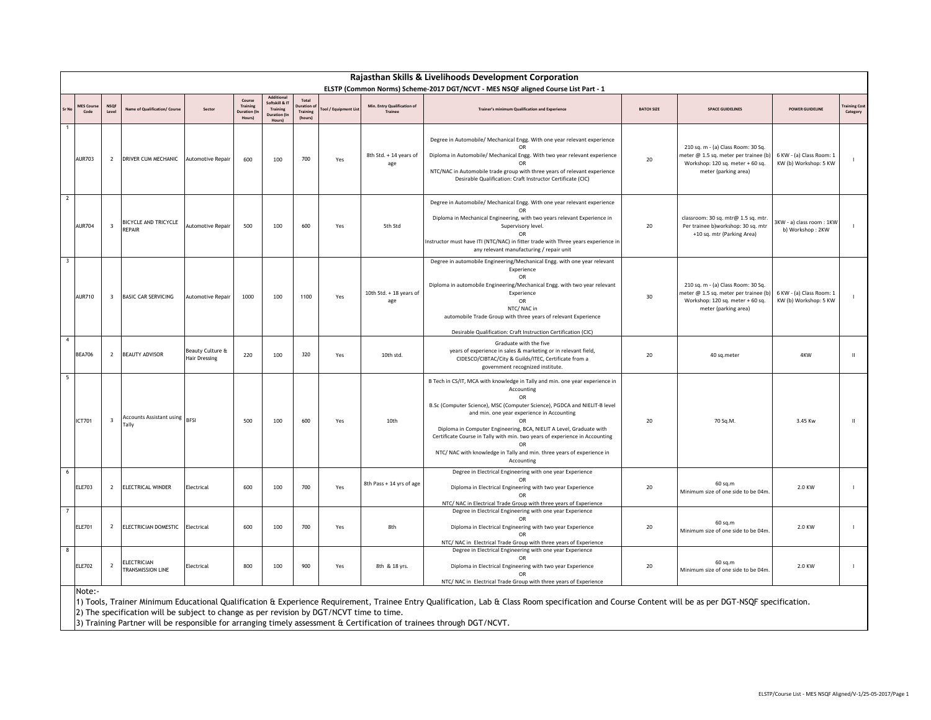|                         | Rajasthan Skills & Livelihoods Development Corporation |                         |                                                                                           |                                   |                                             |                                                                  |                                           |                     |                                        |                                                                                                                                                                                                                                                                                                                                                                                                                                                                                 |                   |                                                                                                                                         |                                                   |                          |
|-------------------------|--------------------------------------------------------|-------------------------|-------------------------------------------------------------------------------------------|-----------------------------------|---------------------------------------------|------------------------------------------------------------------|-------------------------------------------|---------------------|----------------------------------------|---------------------------------------------------------------------------------------------------------------------------------------------------------------------------------------------------------------------------------------------------------------------------------------------------------------------------------------------------------------------------------------------------------------------------------------------------------------------------------|-------------------|-----------------------------------------------------------------------------------------------------------------------------------------|---------------------------------------------------|--------------------------|
|                         | MES Cour<br>Code                                       | <b>NSOF</b><br>Level    | Name of Qualification/ Course                                                             | Sector                            | Course<br>Training<br>Juration (I<br>Hours) | oftskill & IT<br>Training<br><b>Duration (In</b><br><b>Hours</b> | Total<br>uration o<br>Training<br>(hours) | ool / Equipment Lis | Min. Entry Qualification of<br>Trainee | ELSTP (Common Norms) Scheme-2017 DGT/NCVT - MES NSQF aligned Course List Part - 1<br>Trainer's minimum Qualification and Experience                                                                                                                                                                                                                                                                                                                                             | <b>BATCH SIZE</b> | <b>SPACE GUIDELINES</b>                                                                                                                 | <b>POWER GUIDELINE</b>                            | raining Cost<br>Category |
| -1                      | <b>AUR703</b>                                          | $\overline{2}$          | DRIVER CUM MECHANIC                                                                       | Automotive Repair                 | 600                                         | 100                                                              | 700                                       | Yes                 | 8th Std. + 14 years of<br>age          | Degree in Automobile/ Mechanical Engg. With one year relevant experience<br>Diploma in Automobile/ Mechanical Engg. With two year relevant experience<br>OR<br>NTC/NAC in Automobile trade group with three years of relevant experience<br>Desirable Qualification: Craft Instructor Certificate (CIC)                                                                                                                                                                         | 20                | 210 sq. m - (a) Class Room: 30 Sq.<br>neter @ 1.5 sq. meter per trainee (b)<br>Workshop: 120 sq. meter + 60 sq.<br>meter (parking area) | 6 KW - (a) Class Room: 1<br>KW (b) Workshop: 5 KW |                          |
| $\overline{2}$          | <b>AUR704</b>                                          | $\overline{\mathbf{3}}$ | <b>BICYCLE AND TRICYCLE</b><br>REPAIR                                                     | Automotive Repair                 | 500                                         | 100                                                              | 600                                       | Yes                 | 5th Std                                | Degree in Automobile/ Mechanical Engg. With one year relevant experience<br>OR<br>Diploma in Mechanical Engineering, with two years relevant Experience in<br>Supervisory level.<br>OR<br>Instructor must have ITI (NTC/NAC) in fitter trade with Three years experience in<br>any relevant manufacturing / repair unit                                                                                                                                                         | 20                | classroom: 30 sq. mtr@ 1.5 sq. mtr.<br>Per trainee b)workshop: 30 sq. mtr<br>+10 sq. mtr (Parking Area)                                 | 3KW - a) class room: 1KW<br>b) Workshop: 2KW      |                          |
| $\overline{\mathbf{3}}$ | <b>AUR710</b>                                          | $\overline{\mathbf{3}}$ | <b>BASIC CAR SERVICING</b>                                                                | Automotive Repair                 | 1000                                        | 100                                                              | 1100                                      | Yes                 | 10th Std. + 18 years of<br>age         | Degree in automobile Engineering/Mechanical Engg. with one year relevant<br>Experience<br>OR<br>Diploma in automobile Engineering/Mechanical Engg. with two year relevant<br>Experience<br>OR<br>NTC/NAC in<br>automobile Trade Group with three years of relevant Experience<br>Desirable Qualification: Craft Instruction Certification (CIC)                                                                                                                                 | 30                | 210 sq. m - (a) Class Room: 30 Sq.<br>meter @ 1.5 sq. meter per trainee (b)<br>Workshop: 120 sq. meter + 60 sq.<br>meter (parking area) | 6 KW - (a) Class Room: 1<br>KW (b) Workshop: 5 KW |                          |
| $\overline{4}$          | <b>BEA706</b>                                          | $\overline{2}$          | <b>BEAUTY ADVISOR</b>                                                                     | Beauty Culture &<br>Hair Dressing | 220                                         | 100                                                              | 320                                       | Yes                 | 10th std.                              | Graduate with the five<br>years of experience in sales & marketing or in relevant field,<br>CIDESCO/CIBTAC/City & Guilds/ITEC, Certificate from a<br>government recognized institute.                                                                                                                                                                                                                                                                                           | 20                | 40 sq.meter                                                                                                                             | 4KW                                               | $\mathbf{H}$             |
| 5                       | ICT701                                                 | $\overline{\mathbf{3}}$ | Accounts Assistant using BFSI<br><b>Tally</b>                                             |                                   | 500                                         | 100                                                              | 600                                       | Yes                 | 10th                                   | B Tech in CS/IT, MCA with knowledge in Tally and min. one year experience in<br>Accounting<br>OR<br>B.Sc (Computer Science), MSC (Computer Science), PGDCA and NIELIT-B level<br>and min. one year experience in Accounting<br>OR<br>Diploma in Computer Engineering, BCA, NIELIT A Level, Graduate with<br>Certificate Course in Tally with min. two years of experience in Accounting<br>NTC/ NAC with knowledge in Tally and min. three years of experience in<br>Accounting | 20                | 70 Sq.M.                                                                                                                                | 3.45 Kw                                           | $\mathbf{H}$             |
| 6                       | <b>ELE703</b>                                          | $\overline{2}$          | ELECTRICAL WINDER                                                                         | Electrical                        | 600                                         | 100                                                              | 700                                       | Yes                 | 8th Pass + 14 yrs of age               | Degree in Electrical Engineering with one year Experience<br>OR<br>Diploma in Electrical Engineering with two year Experience<br>OR<br>NTC/ NAC in Electrical Trade Group with three years of Experience                                                                                                                                                                                                                                                                        | 20                | 60 sq.m<br>Minimum size of one side to be 04m                                                                                           | 2.0 KW                                            |                          |
| $\overline{7}$          | <b>ELE701</b>                                          | $\overline{2}$          | ELECTRICIAN DOMESTIC                                                                      | Electrical                        | 600                                         | 100                                                              | 700                                       | Yes                 | 8th                                    | Degree in Electrical Engineering with one year Experience<br>Diploma in Electrical Engineering with two year Experience<br>OR<br>NTC/ NAC in Electrical Trade Group with three years of Experience                                                                                                                                                                                                                                                                              | 20                | 60 sq.m<br>Minimum size of one side to be 04m                                                                                           | 2.0 KW                                            |                          |
| $\overline{\mathbf{8}}$ | <b>ELE702</b>                                          | $\overline{2}$          | ELECTRICIAN<br>TRANSMISSION LINE                                                          | Electrical                        | 800                                         | 100                                                              | 900                                       | Yes                 | 8th & 18 yrs.                          | Degree in Electrical Engineering with one year Experience<br>OR<br>Diploma in Electrical Engineering with two year Experience<br>OR<br>NTC/ NAC in Electrical Trade Group with three years of Experience                                                                                                                                                                                                                                                                        | 20                | 60 sq.m<br>Minimum size of one side to be 04m                                                                                           | 2.0 KW                                            |                          |
|                         | Note:-                                                 |                         | (2) The specification will be subject to change as per revision by DGT/NCVT time to time. |                                   |                                             |                                                                  |                                           |                     |                                        | 1) Tools, Trainer Minimum Educational Qualification & Experience Requirement, Trainee Entry Qualification, Lab & Class Room specification and Course Content will be as per DGT-NSQF specification.                                                                                                                                                                                                                                                                             |                   |                                                                                                                                         |                                                   |                          |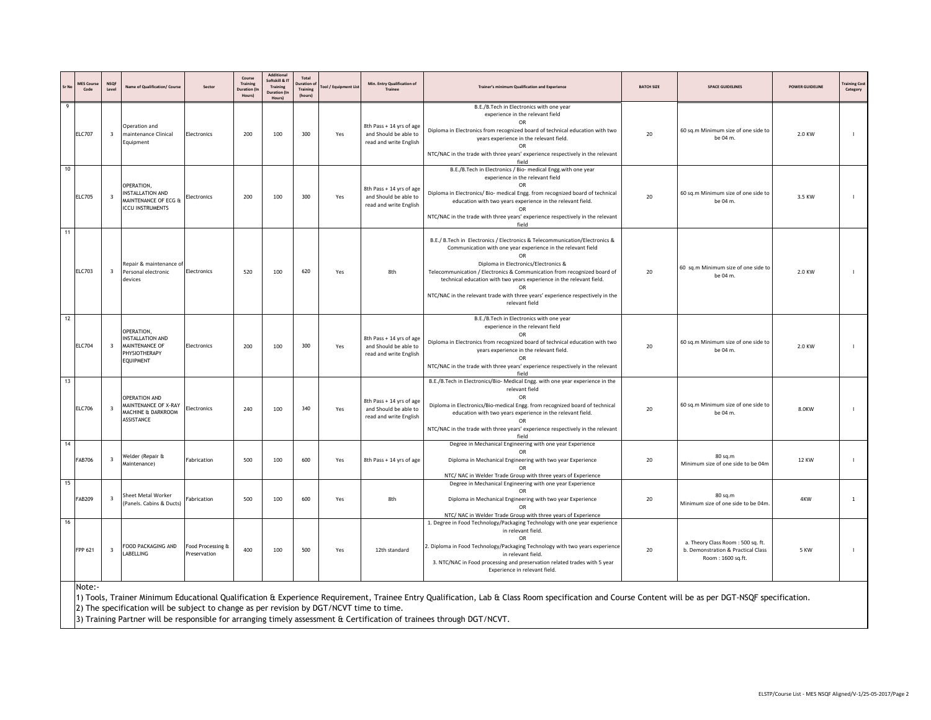|    | <b>MES Cours</b><br>Code | <b>NSQF</b><br>Level    | <b>Vame of Qualification/ Course</b>                                                     | Sector                            | Course<br>Training<br><b>Duration (I)</b><br>Hours) | Additional<br>Softskill & IT<br>Training<br><b>Duration</b> (In<br>Hours) | Total<br>uration o<br><b>Training</b><br>(hours) | ool / Equipment Lis | Min. Entry Qualification of<br>Trainee                                      | Trainer's minimum Qualification and Experienc                                                                                                                                                                                                                                                                                                                                                                                                           | <b>BATCH SIZE</b> | <b>SPACE GUIDELINES</b>                                                                      | <b>POWER GUIDELINE</b> | raining Cos<br>Category |
|----|--------------------------|-------------------------|------------------------------------------------------------------------------------------|-----------------------------------|-----------------------------------------------------|---------------------------------------------------------------------------|--------------------------------------------------|---------------------|-----------------------------------------------------------------------------|---------------------------------------------------------------------------------------------------------------------------------------------------------------------------------------------------------------------------------------------------------------------------------------------------------------------------------------------------------------------------------------------------------------------------------------------------------|-------------------|----------------------------------------------------------------------------------------------|------------------------|-------------------------|
| 9  | <b>ELC707</b>            | $\overline{\mathbf{3}}$ | Operation and<br>maintenance Clinical<br>Equipment                                       | Electronics                       | 200                                                 | 100                                                                       | 300                                              | Yes                 | 8th Pass + 14 yrs of age<br>and Should be able to<br>read and write English | B.E./B.Tech in Electronics with one year<br>experience in the relevant field<br>OR<br>Diploma in Electronics from recognized board of technical education with two<br>years experience in the relevant field.<br>OR<br>NTC/NAC in the trade with three years' experience respectively in the relevant<br>field                                                                                                                                          | 20                | 60 sq.m Minimum size of one side to<br>be 04 m.                                              | 2.0 KW                 |                         |
| 10 | <b>ELC705</b>            | $\overline{\mathbf{3}}$ | OPERATION,<br><b>INSTALLATION AND</b><br>MAINTENANCE OF ECG &<br><b>ICCU INSTRUMENTS</b> | Electronics                       | 200                                                 | 100                                                                       | 300                                              | Yes                 | 8th Pass + 14 yrs of age<br>and Should be able to<br>read and write English | B.E./B.Tech in Electronics / Bio- medical Engg.with one year<br>experience in the relevant field<br>OR<br>Diploma in Electronics/ Bio- medical Engg. from recognized board of technical<br>education with two years experience in the relevant field.<br><b>OR</b><br>NTC/NAC in the trade with three years' experience respectively in the relevant<br>field                                                                                           | 20                | 60 sq.m Minimum size of one side to<br>be 04 m.                                              | 3.5 KW                 |                         |
| 11 | <b>ELC703</b>            | $\overline{\mathbf{3}}$ | Repair & maintenance of<br>Personal electronic<br>devices                                | Electronics                       | 520                                                 | 100                                                                       | 620                                              | Yes                 | 8th                                                                         | B.E./ B.Tech in Electronics / Electronics & Telecommunication/Electronics &<br>Communication with one year experience in the relevant field<br>OR<br>Diploma in Electronics/Electronics &<br>Telecommunication / Electronics & Communication from recognized board of<br>technical education with two years experience in the relevant field.<br>OR<br>NTC/NAC in the relevant trade with three years' experience respectively in the<br>relevant field | 20                | 60 sq.m Minimum size of one side to<br>be 04 m.                                              | 2.0 KW                 |                         |
| 12 | <b>ELC704</b>            | $\overline{\mathbf{3}}$ | OPERATION,<br><b>NSTALLATION AND</b><br>MAINTENANCE OF<br>PHYSIOTHERAPY<br>EQUIPMENT     | Electronics                       | 200                                                 | 100                                                                       | 300                                              | Yes                 | 8th Pass + 14 yrs of age<br>and Should be able to<br>read and write English | B.E./B.Tech in Electronics with one year<br>experience in the relevant field<br><b>OR</b><br>Diploma in Electronics from recognized board of technical education with two<br>years experience in the relevant field.<br><b>OR</b><br>NTC/NAC in the trade with three years' experience respectively in the relevant<br>field                                                                                                                            | 20                | 60 sq.m Minimum size of one side to<br>be 04 m.                                              | 2.0 KW                 |                         |
| 13 | <b>ELC706</b>            | $\overline{\mathbf{3}}$ | <b>OPERATION AND</b><br>MAINTENANCE OF X-RAY<br>MACHINE & DARKROOM<br>ASSISTANCE         | Electronics                       | 240                                                 | 100                                                                       | 340                                              | Yes                 | 8th Pass + 14 yrs of age<br>and Should be able to<br>read and write English | B.E./B.Tech in Electronics/Bio- Medical Engg. with one year experience in the<br>relevant field<br>OR<br>Diploma in Electronics/Bio-medical Engg. from recognized board of technical<br>education with two years experience in the relevant field.<br><b>OR</b><br>NTC/NAC in the trade with three years' experience respectively in the relevant<br>field                                                                                              | 20                | 60 sq.m Minimum size of one side to<br>be 04 m.                                              | 8.0KW                  |                         |
| 14 | <b>FAB706</b>            | $\overline{\mathbf{3}}$ | Welder (Repair &<br>Aaintenance)                                                         | Fabrication                       | 500                                                 | 100                                                                       | 600                                              | Yes                 | 8th Pass + 14 yrs of age                                                    | Degree in Mechanical Engineering with one year Experience<br>OR<br>Diploma in Mechanical Engineering with two year Experience<br>OR<br>NTC/ NAC in Welder Trade Group with three years of Experience                                                                                                                                                                                                                                                    | 20                | 80 sq.m<br>Minimum size of one side to be 04m                                                | <b>12 KW</b>           |                         |
| 15 | FAB209                   | $\overline{\mathbf{3}}$ | Sheet Metal Worker<br>(Panels. Cabins & Ducts)                                           | Fabrication                       | 500                                                 | 100                                                                       | 600                                              | Yes                 | 8th                                                                         | Degree in Mechanical Engineering with one year Experience<br>OR<br>Diploma in Mechanical Engineering with two year Experience<br>OR<br>NTC/ NAC in Welder Trade Group with three years of Experience                                                                                                                                                                                                                                                    | 20                | 80 sq.m<br>Minimum size of one side to be 04m.                                               | 4KW                    | <sup>1</sup>            |
| 16 | FPP 621<br>$N$ nter-     | $\overline{\mathbf{3}}$ | FOOD PACKAGING AND<br>ABELLING                                                           | Food Processing &<br>Preservation | 400                                                 | 100                                                                       | 500                                              | Yes                 | 12th standard                                                               | 1. Degree in Food Technology/Packaging Technology with one year experience<br>in relevant field.<br>OR<br>2. Diploma in Food Technology/Packaging Technology with two years experience<br>in relevant field.<br>3. NTC/NAC in Food processing and preservation related trades with 5 year<br>Experience in relevant field.                                                                                                                              | 20                | a. Theory Class Room: 500 sq. ft.<br>b. Demonstration & Practical Class<br>Room: 1600 sq.ft. | 5 KW                   |                         |

Note:-

1) Tools, Trainer Minimum Educational Qualification & Experience Requirement, Trainee Entry Qualification, Lab & Class Room specification and Course Content will be as per DGT-NSQF specification. 2) The specification will be subject to change as per revision by DGT/NCVT time to time.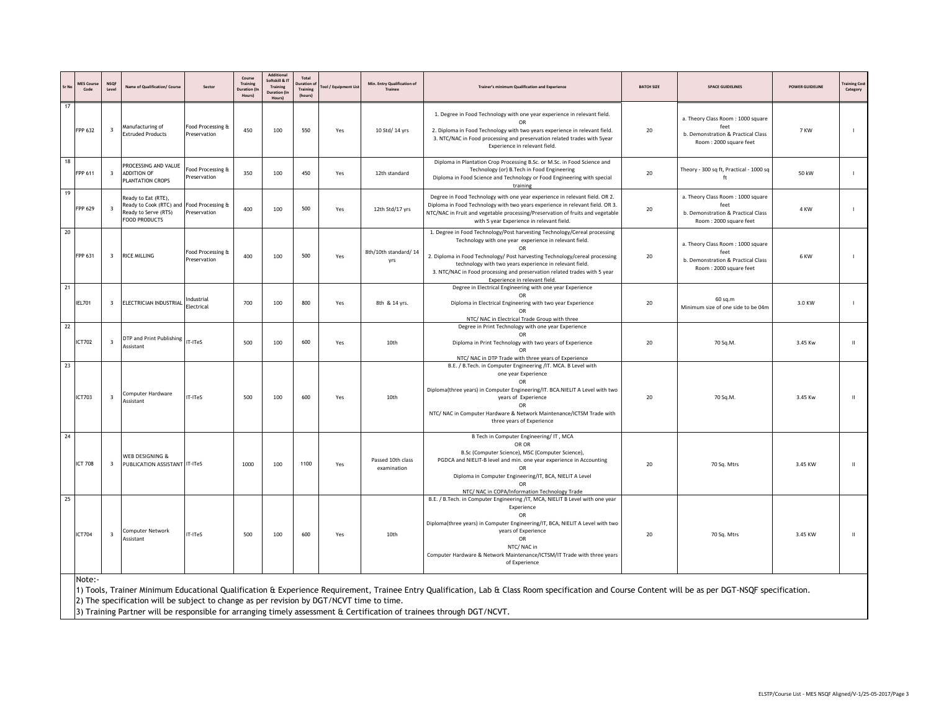|    | <b>MES Cours</b><br>Code | <b>NSOF</b><br>Level    | Vame of Qualification/ Course                                                                                    | Sector                            | Course<br>Training<br>Juration (<br>Hours) | Additional<br>oftskill & IT<br>Training<br><b>Duration (In</b><br>Hours) | Total<br>Duration o<br>Training<br>(hours) | Tool / Equipment List | Min. Entry Qualification of<br>Trainer | Trainer's minimum Qualification and Experience                                                                                                                                                                                                                                                                                                                                                    | <b>BATCH SIZE</b> | <b>SPACE GUIDELINES</b>                                                                                   | <b>POWER GUIDELINE</b> | raining Cos<br>Category |
|----|--------------------------|-------------------------|------------------------------------------------------------------------------------------------------------------|-----------------------------------|--------------------------------------------|--------------------------------------------------------------------------|--------------------------------------------|-----------------------|----------------------------------------|---------------------------------------------------------------------------------------------------------------------------------------------------------------------------------------------------------------------------------------------------------------------------------------------------------------------------------------------------------------------------------------------------|-------------------|-----------------------------------------------------------------------------------------------------------|------------------------|-------------------------|
| 17 | FPP 632                  | $\overline{\mathbf{3}}$ | Manufacturing of<br><b>Extruded Products</b>                                                                     | Food Processing &<br>Preservation | 450                                        | 100                                                                      | 550                                        | Yes                   | 10 Std/ 14 yrs                         | 1. Degree in Food Technology with one year experience in relevant field.<br>OR<br>2. Diploma in Food Technology with two years experience in relevant field.<br>3. NTC/NAC in Food processing and preservation related trades with 5year<br>Experience in relevant field.                                                                                                                         | 20                | a. Theory Class Room: 1000 square<br>feet<br>b. Demonstration & Practical Class<br>Room: 2000 square feet | 7 KW                   | $\blacksquare$          |
| 18 | FPP 611                  | $\overline{\mathbf{3}}$ | PROCESSING AND VALUE<br><b>ADDITION OF</b><br>PLANTATION CROPS                                                   | Food Processing &<br>Preservation | 350                                        | 100                                                                      | 450                                        | Yes                   | 12th standard                          | Diploma in Plantation Crop Processing B.Sc. or M.Sc. in Food Science and<br>Technology (or) B. Tech in Food Engineering<br>Diploma in Food Science and Technology or Food Engineering with special<br>training                                                                                                                                                                                    | 20                | Theory - 300 sq ft, Practical - 1000 sq<br>ft                                                             | 50 kW                  | $\blacksquare$          |
| 19 | FPP 629                  | $\overline{\mathbf{3}}$ | Ready to Eat (RTE),<br>Ready to Cook (RTC) and Food Processing &<br>Ready to Serve (RTS)<br><b>FOOD PRODUCTS</b> | Preservation                      | 400                                        | 100                                                                      | 500                                        | Yes                   | 12th Std/17 yrs                        | Degree in Food Technology with one year experience in relevant field. OR 2.<br>Diploma in Food Technology with two years experience in relevant field. OR 3.<br>NTC/NAC in Fruit and vegetable processing/Preservation of fruits and vegetable<br>with 5 year Experience in relevant field.                                                                                                       | 20                | a. Theory Class Room: 1000 square<br>feet<br>b. Demonstration & Practical Class<br>Room: 2000 square feet | 4 KW                   |                         |
| 20 | FPP 631                  | 3                       | <b>RICE MILLING</b>                                                                                              | Food Processing &<br>Preservation | 400                                        | 100                                                                      | 500                                        | Yes                   | 8th/10th standard/14<br>yrs            | 1. Degree in Food Technology/Post harvesting Technology/Cereal processing<br>Technology with one year experience in relevant field.<br>OR<br>2. Diploma in Food Technology/ Post harvesting Technology/cereal processing<br>technology with two years experience in relevant field.<br>3. NTC/NAC in Food processing and preservation related trades with 5 year<br>Experience in relevant field. | 20                | a. Theory Class Room: 1000 square<br>feet<br>b. Demonstration & Practical Class<br>Room: 2000 square feet | 6 KW                   |                         |
| 21 | <b>IEL701</b>            | 3                       | ELECTRICIAN INDUSTRIAL                                                                                           | ndustrial<br>Electrical           | 700                                        | 100                                                                      | 800                                        | Yes                   | 8th & 14 yrs.                          | Degree in Electrical Engineering with one year Experience<br>Diploma in Electrical Engineering with two year Experience<br>OR<br>NTC/ NAC in Electrical Trade Group with three                                                                                                                                                                                                                    | 20                | 60 sq.m<br>Minimum size of one side to be 04m                                                             | 3.0 KW                 |                         |
| 22 | ICT702                   | $\overline{\mathbf{3}}$ | DTP and Print Publishing<br>Assistant                                                                            | IT-ITeS                           | 500                                        | 100                                                                      | 600                                        | Yes                   | 10th                                   | Degree in Print Technology with one year Experience<br>OR<br>Diploma in Print Technology with two years of Experience<br>OR<br>NTC/ NAC in DTP Trade with three years of Experience                                                                                                                                                                                                               | 20                | 70 Sq.M.                                                                                                  | 3.45 Kw                | $\mathbf{H}$            |
| 23 | <b>ICT703</b>            | $\overline{\mathbf{3}}$ | Computer Hardware<br>Assistant                                                                                   | IT-ITeS                           | 500                                        | 100                                                                      | 600                                        | Yes                   | 10th                                   | B.E. / B.Tech. in Computer Engineering /IT. MCA. B Level with<br>one year Experience<br>OR<br>Diploma(three years) in Computer Engineering/IT. BCA.NIELIT A Level with two<br>years of Experience<br>OR<br>NTC/ NAC in Computer Hardware & Network Maintenance/ICTSM Trade with<br>three years of Experience                                                                                      | 20                | 70 Sq.M.                                                                                                  | 3.45 Kw                | $\mathbf{u}$            |
| 24 | <b>ICT 708</b>           | $\overline{\mathbf{3}}$ | WEB DESIGNING &<br>PUBLICATION ASSISTANT IT-ITeS                                                                 |                                   | 1000                                       | 100                                                                      | 1100                                       | Yes                   | Passed 10th class<br>examination       | B Tech in Computer Engineering/IT, MCA<br>OR OR<br>B.Sc (Computer Science), MSC (Computer Science),<br>PGDCA and NIELIT-B level and min. one year experience in Accounting<br>OR<br>Diploma in Computer Engineering/IT, BCA, NIELIT A Level<br>NTC/ NAC in COPA/Information Technology Trade                                                                                                      | 20                | 70 Sq. Mtrs                                                                                               | 3.45 KW                | $\mathbf{I}$            |
| 25 | <b>ICT704</b><br>Note:-  | 3                       | Computer Network<br>Assistant                                                                                    | T-ITeS                            | 500                                        | 100                                                                      | 600                                        | Yes                   | 10th                                   | B.E. / B.Tech. in Computer Engineering /IT, MCA, NIELIT B Level with one year<br>Experience<br><b>OR</b><br>Diploma(three years) in Computer Engineering/IT, BCA, NIELIT A Level with two<br>years of Experience<br>OR<br>NTC/NAC in<br>Computer Hardware & Network Maintenance/ICTSM/IT Trade with three years<br>of Experience                                                                  | 20                | 70 Sq. Mtrs                                                                                               | 3.45 KW                | $\mathbf{H}$            |

Minimum Educational Qualification & Experience Requirement, Trainee Entry Qualification, Lab & Class Room specification and Course Content will be as per DGT-NSQF specification.

2) The specification will be subject to change as per revision by DGT/NCVT time to time.